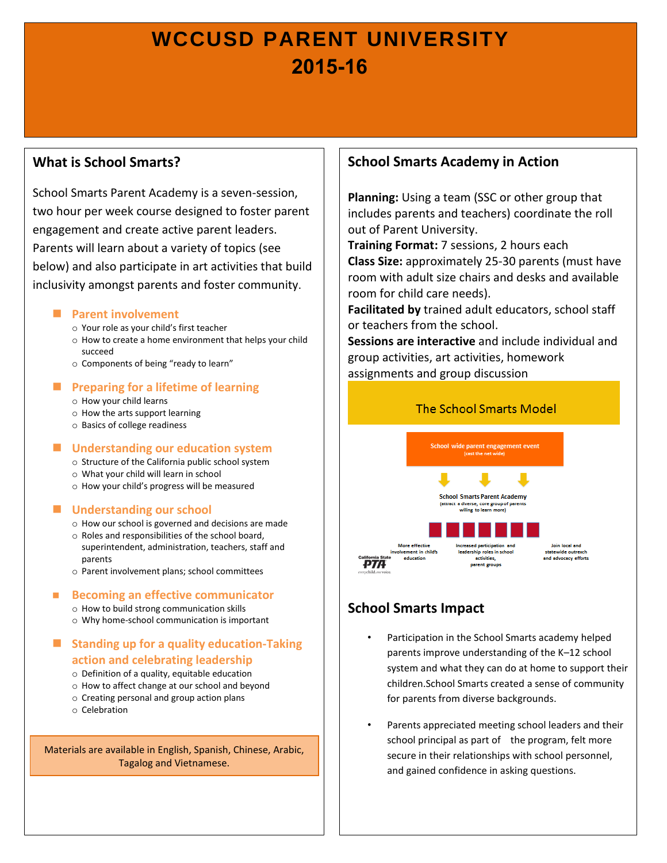# **WCCUSD PARENT UNIVERSITY 2015-16**

# **What is School Smarts?**

School Smarts Parent Academy is a seven-session, two hour per week course designed to foster parent engagement and create active parent leaders. Parents will learn about a variety of topics (see below) and also participate in art activities that build inclusivity amongst parents and foster community.

### **Parent involvement**

- o Your role as your child's first teacher
- o How to create a home environment that helps your child succeed
- o Components of being "ready to learn"

## **Preparing for a lifetime of learning**

- o How your child learns
- o How the arts support learning
- o Basics of college readiness

## **Understanding our education system**

- o Structure of the California public school system
- o What your child will learn in school
- o How your child's progress will be measured

## **Understanding our school**

- o How our school is governed and decisions are made
- o Roles and responsibilities of the school board, superintendent, administration, teachers, staff and parents
- o Parent involvement plans; school committees

#### ■ Becoming an effective communicator

- o How to build strong communication skills
- o Why home-school communication is important

# **Standing up for a quality education-Taking action and celebrating leadership**

- o Definition of a quality, equitable education
- o How to affect change at our school and beyond
- o Creating personal and group action plans
- o Celebration

Materials are available in English, Spanish, Chinese, Arabic, Tagalog and Vietnamese.

# **School Smarts Academy in Action**

**Planning:** Using a team (SSC or other group that includes parents and teachers) coordinate the roll out of Parent University.

**Training Format:** 7 sessions, 2 hours each **Class Size:** approximately 25-30 parents (must have room with adult size chairs and desks and available room for child care needs).

**Facilitated by** trained adult educators, school staff or teachers from the school.

**Sessions are interactive** and include individual and group activities, art activities, homework assignments and group discussion



# **School Smarts Impact**

- Participation in the School Smarts academy helped parents improve understanding of the K–12 school system and what they can do at home to support their children.School Smarts created a sense of community for parents from diverse backgrounds.
- Parents appreciated meeting school leaders and their school principal as part of the program, felt more secure in their relationships with school personnel, and gained confidence in asking questions.